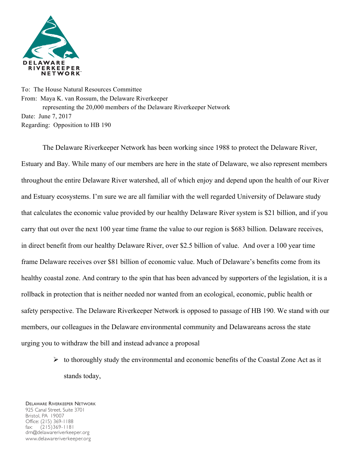

To: The House Natural Resources Committee From: Maya K. van Rossum, the Delaware Riverkeeper representing the 20,000 members of the Delaware Riverkeeper Network Date: June 7, 2017 Regarding: Opposition to HB 190

The Delaware Riverkeeper Network has been working since 1988 to protect the Delaware River, Estuary and Bay. While many of our members are here in the state of Delaware, we also represent members throughout the entire Delaware River watershed, all of which enjoy and depend upon the health of our River and Estuary ecosystems. I'm sure we are all familiar with the well regarded University of Delaware study that calculates the economic value provided by our healthy Delaware River system is \$21 billion, and if you carry that out over the next 100 year time frame the value to our region is \$683 billion. Delaware receives, in direct benefit from our healthy Delaware River, over \$2.5 billion of value. And over a 100 year time frame Delaware receives over \$81 billion of economic value. Much of Delaware's benefits come from its healthy coastal zone. And contrary to the spin that has been advanced by supporters of the legislation, it is a rollback in protection that is neither needed nor wanted from an ecological, economic, public health or safety perspective. The Delaware Riverkeeper Network is opposed to passage of HB 190. We stand with our members, our colleagues in the Delaware environmental community and Delawareans across the state urging you to withdraw the bill and instead advance a proposal

> $\triangleright$  to thoroughly study the environmental and economic benefits of the Coastal Zone Act as it stands today,

DELAWARE RIVERKEEPER NETWORK 925 Canal Street, Suite 3701 Bristol, PA 19007 Office: (215) 369-1188 fax: (215)369-1181 drn@delawareriverkeeper.org www.delawareriverkeeper.org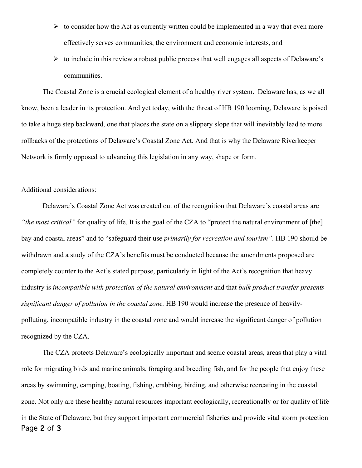- $\triangleright$  to consider how the Act as currently written could be implemented in a way that even more effectively serves communities, the environment and economic interests, and
- $\triangleright$  to include in this review a robust public process that well engages all aspects of Delaware's communities.

The Coastal Zone is a crucial ecological element of a healthy river system. Delaware has, as we all know, been a leader in its protection. And yet today, with the threat of HB 190 looming, Delaware is poised to take a huge step backward, one that places the state on a slippery slope that will inevitably lead to more rollbacks of the protections of Delaware's Coastal Zone Act. And that is why the Delaware Riverkeeper Network is firmly opposed to advancing this legislation in any way, shape or form.

## Additional considerations:

Delaware's Coastal Zone Act was created out of the recognition that Delaware's coastal areas are *"the most critical"* for quality of life. It is the goal of the CZA to "protect the natural environment of [the] bay and coastal areas" and to "safeguard their use *primarily for recreation and tourism"*. HB 190 should be withdrawn and a study of the CZA's benefits must be conducted because the amendments proposed are completely counter to the Act's stated purpose, particularly in light of the Act's recognition that heavy industry is *incompatible with protection of the natural environment* and that *bulk product transfer presents significant danger of pollution in the coastal zone.* HB 190 would increase the presence of heavilypolluting, incompatible industry in the coastal zone and would increase the significant danger of pollution recognized by the CZA.

Page 2 of 3 The CZA protects Delaware's ecologically important and scenic coastal areas, areas that play a vital role for migrating birds and marine animals, foraging and breeding fish, and for the people that enjoy these areas by swimming, camping, boating, fishing, crabbing, birding, and otherwise recreating in the coastal zone. Not only are these healthy natural resources important ecologically, recreationally or for quality of life in the State of Delaware, but they support important commercial fisheries and provide vital storm protection